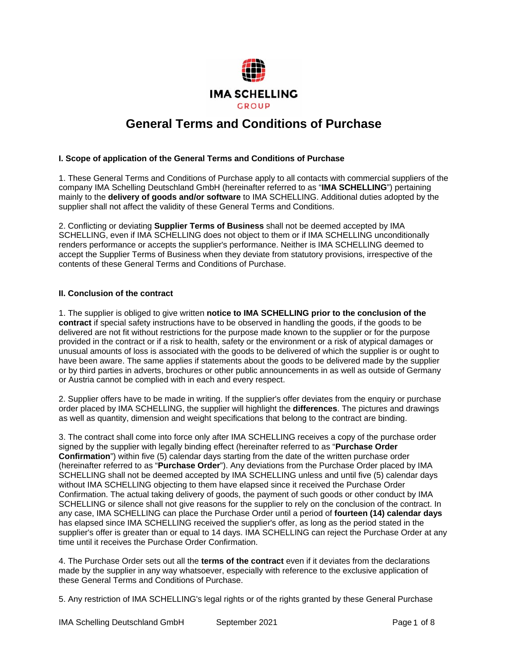

# **General Terms and Conditions of Purchase**

#### **I. Scope of application of the General Terms and Conditions of Purchase**

1. These General Terms and Conditions of Purchase apply to all contacts with commercial suppliers of the company IMA Schelling Deutschland GmbH (hereinafter referred to as "**IMA SCHELLING**") pertaining mainly to the **delivery of goods and/or software** to IMA SCHELLING. Additional duties adopted by the supplier shall not affect the validity of these General Terms and Conditions.

2. Conflicting or deviating **Supplier Terms of Business** shall not be deemed accepted by IMA SCHELLING, even if IMA SCHELLING does not object to them or if IMA SCHELLING unconditionally renders performance or accepts the supplier's performance. Neither is IMA SCHELLING deemed to accept the Supplier Terms of Business when they deviate from statutory provisions, irrespective of the contents of these General Terms and Conditions of Purchase.

#### **II. Conclusion of the contract**

1. The supplier is obliged to give written **notice to IMA SCHELLING prior to the conclusion of the contract** if special safety instructions have to be observed in handling the goods, if the goods to be delivered are not fit without restrictions for the purpose made known to the supplier or for the purpose provided in the contract or if a risk to health, safety or the environment or a risk of atypical damages or unusual amounts of loss is associated with the goods to be delivered of which the supplier is or ought to have been aware. The same applies if statements about the goods to be delivered made by the supplier or by third parties in adverts, brochures or other public announcements in as well as outside of Germany or Austria cannot be complied with in each and every respect.

2. Supplier offers have to be made in writing. If the supplier's offer deviates from the enquiry or purchase order placed by IMA SCHELLING, the supplier will highlight the **differences**. The pictures and drawings as well as quantity, dimension and weight specifications that belong to the contract are binding.

3. The contract shall come into force only after IMA SCHELLING receives a copy of the purchase order signed by the supplier with legally binding effect (hereinafter referred to as "**Purchase Order Confirmation**") within five (5) calendar days starting from the date of the written purchase order (hereinafter referred to as "**Purchase Order**"). Any deviations from the Purchase Order placed by IMA SCHELLING shall not be deemed accepted by IMA SCHELLING unless and until five (5) calendar days without IMA SCHELLING objecting to them have elapsed since it received the Purchase Order Confirmation. The actual taking delivery of goods, the payment of such goods or other conduct by IMA SCHELLING or silence shall not give reasons for the supplier to rely on the conclusion of the contract. In any case, IMA SCHELLING can place the Purchase Order until a period of **fourteen (14) calendar days** has elapsed since IMA SCHELLING received the supplier's offer, as long as the period stated in the supplier's offer is greater than or equal to 14 days. IMA SCHELLING can reject the Purchase Order at any time until it receives the Purchase Order Confirmation.

4. The Purchase Order sets out all the **terms of the contract** even if it deviates from the declarations made by the supplier in any way whatsoever, especially with reference to the exclusive application of these General Terms and Conditions of Purchase.

5. Any restriction of IMA SCHELLING's legal rights or of the rights granted by these General Purchase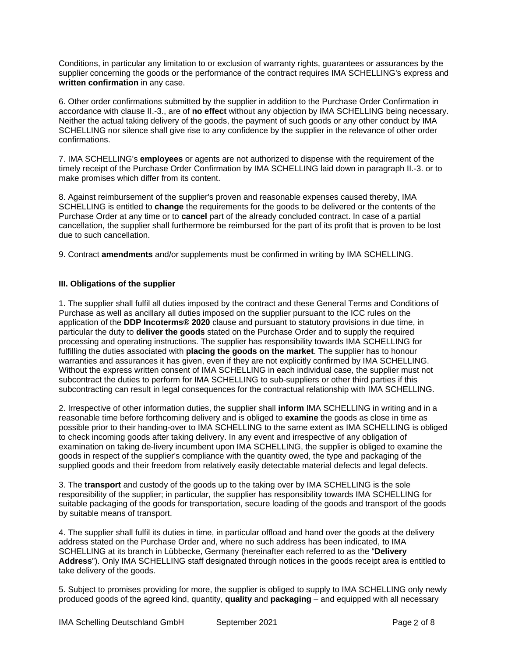Conditions, in particular any limitation to or exclusion of warranty rights, guarantees or assurances by the supplier concerning the goods or the performance of the contract requires IMA SCHELLING's express and **written confirmation** in any case.

6. Other order confirmations submitted by the supplier in addition to the Purchase Order Confirmation in accordance with clause II.-3., are of **no effect** without any objection by IMA SCHELLING being necessary. Neither the actual taking delivery of the goods, the payment of such goods or any other conduct by IMA SCHELLING nor silence shall give rise to any confidence by the supplier in the relevance of other order confirmations.

7. IMA SCHELLING's **employees** or agents are not authorized to dispense with the requirement of the timely receipt of the Purchase Order Confirmation by IMA SCHELLING laid down in paragraph II.-3. or to make promises which differ from its content.

8. Against reimbursement of the supplier's proven and reasonable expenses caused thereby, IMA SCHELLING is entitled to **change** the requirements for the goods to be delivered or the contents of the Purchase Order at any time or to **cancel** part of the already concluded contract. In case of a partial cancellation, the supplier shall furthermore be reimbursed for the part of its profit that is proven to be lost due to such cancellation.

9. Contract **amendments** and/or supplements must be confirmed in writing by IMA SCHELLING.

## **III. Obligations of the supplier**

1. The supplier shall fulfil all duties imposed by the contract and these General Terms and Conditions of Purchase as well as ancillary all duties imposed on the supplier pursuant to the ICC rules on the application of the **DDP Incoterms® 2020** clause and pursuant to statutory provisions in due time, in particular the duty to **deliver the goods** stated on the Purchase Order and to supply the required processing and operating instructions. The supplier has responsibility towards IMA SCHELLING for fulfilling the duties associated with **placing the goods on the market**. The supplier has to honour warranties and assurances it has given, even if they are not explicitly confirmed by IMA SCHELLING. Without the express written consent of IMA SCHELLING in each individual case, the supplier must not subcontract the duties to perform for IMA SCHELLING to sub-suppliers or other third parties if this subcontracting can result in legal consequences for the contractual relationship with IMA SCHELLING.

2. Irrespective of other information duties, the supplier shall **inform** IMA SCHELLING in writing and in a reasonable time before forthcoming delivery and is obliged to **examine** the goods as close in time as possible prior to their handing-over to IMA SCHELLING to the same extent as IMA SCHELLING is obliged to check incoming goods after taking delivery. In any event and irrespective of any obligation of examination on taking de-livery incumbent upon IMA SCHELLING, the supplier is obliged to examine the goods in respect of the supplier's compliance with the quantity owed, the type and packaging of the supplied goods and their freedom from relatively easily detectable material defects and legal defects.

3. The **transport** and custody of the goods up to the taking over by IMA SCHELLING is the sole responsibility of the supplier; in particular, the supplier has responsibility towards IMA SCHELLING for suitable packaging of the goods for transportation, secure loading of the goods and transport of the goods by suitable means of transport.

4. The supplier shall fulfil its duties in time, in particular offload and hand over the goods at the delivery address stated on the Purchase Order and, where no such address has been indicated, to IMA SCHELLING at its branch in Lübbecke, Germany (hereinafter each referred to as the "**Delivery Address**"). Only IMA SCHELLING staff designated through notices in the goods receipt area is entitled to take delivery of the goods.

5. Subject to promises providing for more, the supplier is obliged to supply to IMA SCHELLING only newly produced goods of the agreed kind, quantity, **quality** and **packaging** – and equipped with all necessary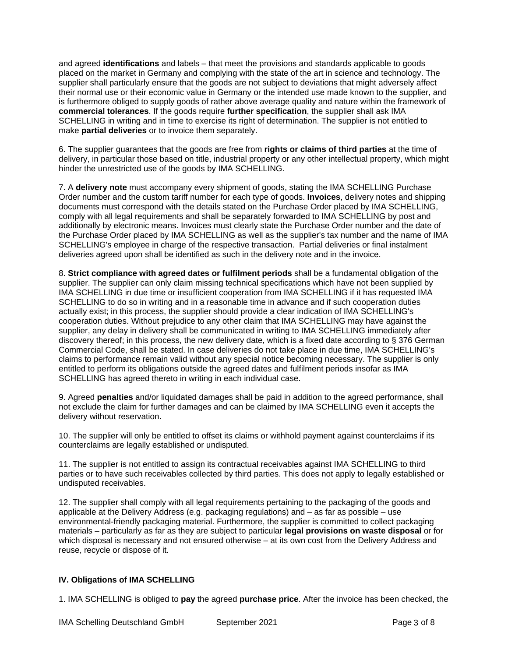and agreed **identifications** and labels – that meet the provisions and standards applicable to goods placed on the market in Germany and complying with the state of the art in science and technology. The supplier shall particularly ensure that the goods are not subject to deviations that might adversely affect their normal use or their economic value in Germany or the intended use made known to the supplier, and is furthermore obliged to supply goods of rather above average quality and nature within the framework of **commercial tolerances**. If the goods require **further specification**, the supplier shall ask IMA SCHELLING in writing and in time to exercise its right of determination. The supplier is not entitled to make **partial deliveries** or to invoice them separately.

6. The supplier guarantees that the goods are free from **rights or claims of third parties** at the time of delivery, in particular those based on title, industrial property or any other intellectual property, which might hinder the unrestricted use of the goods by IMA SCHELLING.

7. A **delivery note** must accompany every shipment of goods, stating the IMA SCHELLING Purchase Order number and the custom tariff number for each type of goods. **Invoices**, delivery notes and shipping documents must correspond with the details stated on the Purchase Order placed by IMA SCHELLING, comply with all legal requirements and shall be separately forwarded to IMA SCHELLING by post and additionally by electronic means. Invoices must clearly state the Purchase Order number and the date of the Purchase Order placed by IMA SCHELLING as well as the supplier's tax number and the name of IMA SCHELLING's employee in charge of the respective transaction. Partial deliveries or final instalment deliveries agreed upon shall be identified as such in the delivery note and in the invoice.

8. **Strict compliance with agreed dates or fulfilment periods** shall be a fundamental obligation of the supplier. The supplier can only claim missing technical specifications which have not been supplied by IMA SCHELLING in due time or insufficient cooperation from IMA SCHELLING if it has requested IMA SCHELLING to do so in writing and in a reasonable time in advance and if such cooperation duties actually exist; in this process, the supplier should provide a clear indication of IMA SCHELLING's cooperation duties. Without prejudice to any other claim that IMA SCHELLING may have against the supplier, any delay in delivery shall be communicated in writing to IMA SCHELLING immediately after discovery thereof; in this process, the new delivery date, which is a fixed date according to § 376 German Commercial Code, shall be stated. In case deliveries do not take place in due time, IMA SCHELLING's claims to performance remain valid without any special notice becoming necessary. The supplier is only entitled to perform its obligations outside the agreed dates and fulfilment periods insofar as IMA SCHELLING has agreed thereto in writing in each individual case.

9. Agreed **penalties** and/or liquidated damages shall be paid in addition to the agreed performance, shall not exclude the claim for further damages and can be claimed by IMA SCHELLING even it accepts the delivery without reservation.

10. The supplier will only be entitled to offset its claims or withhold payment against counterclaims if its counterclaims are legally established or undisputed.

11. The supplier is not entitled to assign its contractual receivables against IMA SCHELLING to third parties or to have such receivables collected by third parties. This does not apply to legally established or undisputed receivables.

12. The supplier shall comply with all legal requirements pertaining to the packaging of the goods and applicable at the Delivery Address (e.g. packaging regulations) and – as far as possible – use environmental-friendly packaging material. Furthermore, the supplier is committed to collect packaging materials – particularly as far as they are subject to particular **legal provisions on waste disposal** or for which disposal is necessary and not ensured otherwise – at its own cost from the Delivery Address and reuse, recycle or dispose of it.

## **IV. Obligations of IMA SCHELLING**

1. IMA SCHELLING is obliged to **pay** the agreed **purchase price**. After the invoice has been checked, the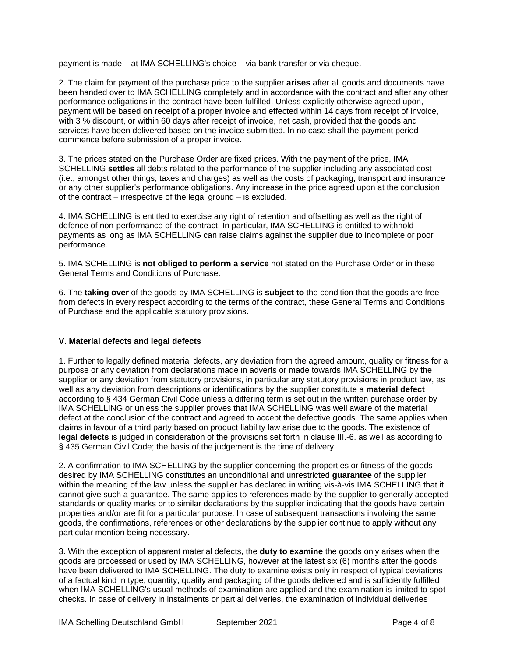payment is made – at IMA SCHELLING's choice – via bank transfer or via cheque.

2. The claim for payment of the purchase price to the supplier **arises** after all goods and documents have been handed over to IMA SCHELLING completely and in accordance with the contract and after any other performance obligations in the contract have been fulfilled. Unless explicitly otherwise agreed upon, payment will be based on receipt of a proper invoice and effected within 14 days from receipt of invoice, with 3 % discount, or within 60 days after receipt of invoice, net cash, provided that the goods and services have been delivered based on the invoice submitted. In no case shall the payment period commence before submission of a proper invoice.

3. The prices stated on the Purchase Order are fixed prices. With the payment of the price, IMA SCHELLING **settles** all debts related to the performance of the supplier including any associated cost (i.e., amongst other things, taxes and charges) as well as the costs of packaging, transport and insurance or any other supplier's performance obligations. Any increase in the price agreed upon at the conclusion of the contract – irrespective of the legal ground – is excluded.

4. IMA SCHELLING is entitled to exercise any right of retention and offsetting as well as the right of defence of non-performance of the contract. In particular, IMA SCHELLING is entitled to withhold payments as long as IMA SCHELLING can raise claims against the supplier due to incomplete or poor performance.

5. IMA SCHELLING is **not obliged to perform a service** not stated on the Purchase Order or in these General Terms and Conditions of Purchase.

6. The **taking over** of the goods by IMA SCHELLING is **subject to** the condition that the goods are free from defects in every respect according to the terms of the contract, these General Terms and Conditions of Purchase and the applicable statutory provisions.

## **V. Material defects and legal defects**

1. Further to legally defined material defects, any deviation from the agreed amount, quality or fitness for a purpose or any deviation from declarations made in adverts or made towards IMA SCHELLING by the supplier or any deviation from statutory provisions, in particular any statutory provisions in product law, as well as any deviation from descriptions or identifications by the supplier constitute a **material defect** according to § 434 German Civil Code unless a differing term is set out in the written purchase order by IMA SCHELLING or unless the supplier proves that IMA SCHELLING was well aware of the material defect at the conclusion of the contract and agreed to accept the defective goods. The same applies when claims in favour of a third party based on product liability law arise due to the goods. The existence of **legal defects** is judged in consideration of the provisions set forth in clause III.-6. as well as according to § 435 German Civil Code; the basis of the judgement is the time of delivery.

2. A confirmation to IMA SCHELLING by the supplier concerning the properties or fitness of the goods desired by IMA SCHELLING constitutes an unconditional and unrestricted **guarantee** of the supplier within the meaning of the law unless the supplier has declared in writing vis-à-vis IMA SCHELLING that it cannot give such a guarantee. The same applies to references made by the supplier to generally accepted standards or quality marks or to similar declarations by the supplier indicating that the goods have certain properties and/or are fit for a particular purpose. In case of subsequent transactions involving the same goods, the confirmations, references or other declarations by the supplier continue to apply without any particular mention being necessary.

3. With the exception of apparent material defects, the **duty to examine** the goods only arises when the goods are processed or used by IMA SCHELLING, however at the latest six (6) months after the goods have been delivered to IMA SCHELLING. The duty to examine exists only in respect of typical deviations of a factual kind in type, quantity, quality and packaging of the goods delivered and is sufficiently fulfilled when IMA SCHELLING's usual methods of examination are applied and the examination is limited to spot checks. In case of delivery in instalments or partial deliveries, the examination of individual deliveries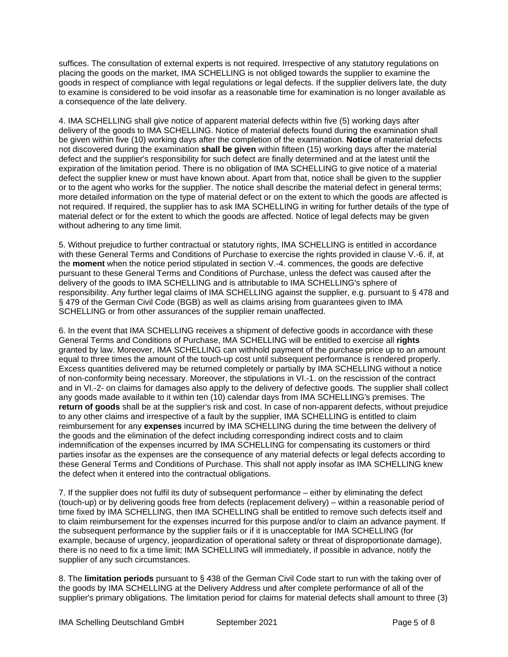suffices. The consultation of external experts is not required. Irrespective of any statutory regulations on placing the goods on the market, IMA SCHELLING is not obliged towards the supplier to examine the goods in respect of compliance with legal regulations or legal defects. If the supplier delivers late, the duty to examine is considered to be void insofar as a reasonable time for examination is no longer available as a consequence of the late delivery.

4. IMA SCHELLING shall give notice of apparent material defects within five (5) working days after delivery of the goods to IMA SCHELLING. Notice of material defects found during the examination shall be given within five (10) working days after the completion of the examination. **Notice** of material defects not discovered during the examination **shall be given** within fifteen (15) working days after the material defect and the supplier's responsibility for such defect are finally determined and at the latest until the expiration of the limitation period. There is no obligation of IMA SCHELLING to give notice of a material defect the supplier knew or must have known about. Apart from that, notice shall be given to the supplier or to the agent who works for the supplier. The notice shall describe the material defect in general terms; more detailed information on the type of material defect or on the extent to which the goods are affected is not required. If required, the supplier has to ask IMA SCHELLING in writing for further details of the type of material defect or for the extent to which the goods are affected. Notice of legal defects may be given without adhering to any time limit.

5. Without prejudice to further contractual or statutory rights, IMA SCHELLING is entitled in accordance with these General Terms and Conditions of Purchase to exercise the rights provided in clause V.-6. if, at the **moment** when the notice period stipulated in section V.-4. commences, the goods are defective pursuant to these General Terms and Conditions of Purchase, unless the defect was caused after the delivery of the goods to IMA SCHELLING and is attributable to IMA SCHELLING's sphere of responsibility. Any further legal claims of IMA SCHELLING against the supplier, e.g. pursuant to § 478 and § 479 of the German Civil Code (BGB) as well as claims arising from guarantees given to IMA SCHELLING or from other assurances of the supplier remain unaffected.

6. In the event that IMA SCHELLING receives a shipment of defective goods in accordance with these General Terms and Conditions of Purchase, IMA SCHELLING will be entitled to exercise all **rights** granted by law. Moreover, IMA SCHELLING can withhold payment of the purchase price up to an amount equal to three times the amount of the touch-up cost until subsequent performance is rendered properly. Excess quantities delivered may be returned completely or partially by IMA SCHELLING without a notice of non-conformity being necessary. Moreover, the stipulations in VI.-1. on the rescission of the contract and in VI.-2- on claims for damages also apply to the delivery of defective goods. The supplier shall collect any goods made available to it within ten (10) calendar days from IMA SCHELLING's premises. The **return of goods** shall be at the supplier's risk and cost. In case of non-apparent defects, without prejudice to any other claims and irrespective of a fault by the supplier, IMA SCHELLING is entitled to claim reimbursement for any **expenses** incurred by IMA SCHELLING during the time between the delivery of the goods and the elimination of the defect including corresponding indirect costs and to claim indemnification of the expenses incurred by IMA SCHELLING for compensating its customers or third parties insofar as the expenses are the consequence of any material defects or legal defects according to these General Terms and Conditions of Purchase. This shall not apply insofar as IMA SCHELLING knew the defect when it entered into the contractual obligations.

7. If the supplier does not fulfil its duty of subsequent performance – either by eliminating the defect (touch-up) or by delivering goods free from defects (replacement delivery) – within a reasonable period of time fixed by IMA SCHELLING, then IMA SCHELLING shall be entitled to remove such defects itself and to claim reimbursement for the expenses incurred for this purpose and/or to claim an advance payment. If the subsequent performance by the supplier fails or if it is unacceptable for IMA SCHELLING (for example, because of urgency, jeopardization of operational safety or threat of disproportionate damage), there is no need to fix a time limit; IMA SCHELLING will immediately, if possible in advance, notify the supplier of any such circumstances.

8. The **limitation periods** pursuant to § 438 of the German Civil Code start to run with the taking over of the goods by IMA SCHELLING at the Delivery Address und after complete performance of all of the supplier's primary obligations. The limitation period for claims for material defects shall amount to three (3)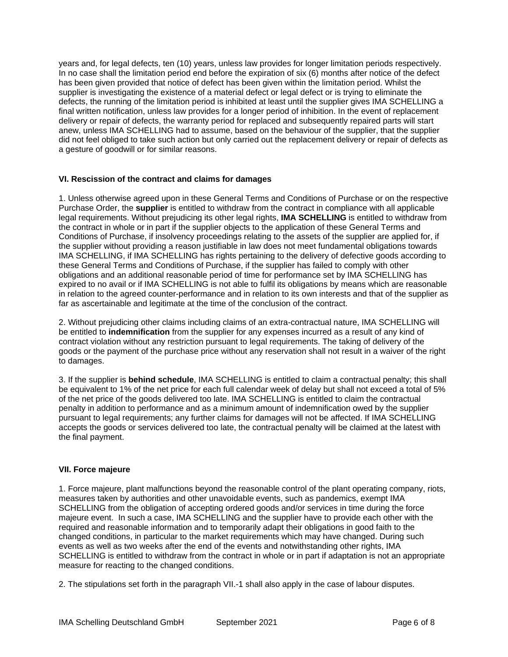years and, for legal defects, ten (10) years, unless law provides for longer limitation periods respectively. In no case shall the limitation period end before the expiration of six (6) months after notice of the defect has been given provided that notice of defect has been given within the limitation period. Whilst the supplier is investigating the existence of a material defect or legal defect or is trying to eliminate the defects, the running of the limitation period is inhibited at least until the supplier gives IMA SCHELLING a final written notification, unless law provides for a longer period of inhibition. In the event of replacement delivery or repair of defects, the warranty period for replaced and subsequently repaired parts will start anew, unless IMA SCHELLING had to assume, based on the behaviour of the supplier, that the supplier did not feel obliged to take such action but only carried out the replacement delivery or repair of defects as a gesture of goodwill or for similar reasons.

## **VI. Rescission of the contract and claims for damages**

1. Unless otherwise agreed upon in these General Terms and Conditions of Purchase or on the respective Purchase Order, the **supplier** is entitled to withdraw from the contract in compliance with all applicable legal requirements. Without prejudicing its other legal rights, **IMA SCHELLING** is entitled to withdraw from the contract in whole or in part if the supplier objects to the application of these General Terms and Conditions of Purchase, if insolvency proceedings relating to the assets of the supplier are applied for, if the supplier without providing a reason justifiable in law does not meet fundamental obligations towards IMA SCHELLING, if IMA SCHELLING has rights pertaining to the delivery of defective goods according to these General Terms and Conditions of Purchase, if the supplier has failed to comply with other obligations and an additional reasonable period of time for performance set by IMA SCHELLING has expired to no avail or if IMA SCHELLING is not able to fulfil its obligations by means which are reasonable in relation to the agreed counter-performance and in relation to its own interests and that of the supplier as far as ascertainable and legitimate at the time of the conclusion of the contract.

2. Without prejudicing other claims including claims of an extra-contractual nature, IMA SCHELLING will be entitled to **indemnification** from the supplier for any expenses incurred as a result of any kind of contract violation without any restriction pursuant to legal requirements. The taking of delivery of the goods or the payment of the purchase price without any reservation shall not result in a waiver of the right to damages.

3. If the supplier is **behind schedule**, IMA SCHELLING is entitled to claim a contractual penalty; this shall be equivalent to 1% of the net price for each full calendar week of delay but shall not exceed a total of 5% of the net price of the goods delivered too late. IMA SCHELLING is entitled to claim the contractual penalty in addition to performance and as a minimum amount of indemnification owed by the supplier pursuant to legal requirements; any further claims for damages will not be affected. If IMA SCHELLING accepts the goods or services delivered too late, the contractual penalty will be claimed at the latest with the final payment.

## **VII. Force majeure**

1. Force majeure, plant malfunctions beyond the reasonable control of the plant operating company, riots, measures taken by authorities and other unavoidable events, such as pandemics, exempt IMA SCHELLING from the obligation of accepting ordered goods and/or services in time during the force majeure event. In such a case, IMA SCHELLING and the supplier have to provide each other with the required and reasonable information and to temporarily adapt their obligations in good faith to the changed conditions, in particular to the market requirements which may have changed. During such events as well as two weeks after the end of the events and notwithstanding other rights, IMA SCHELLING is entitled to withdraw from the contract in whole or in part if adaptation is not an appropriate measure for reacting to the changed conditions.

2. The stipulations set forth in the paragraph VII.-1 shall also apply in the case of labour disputes.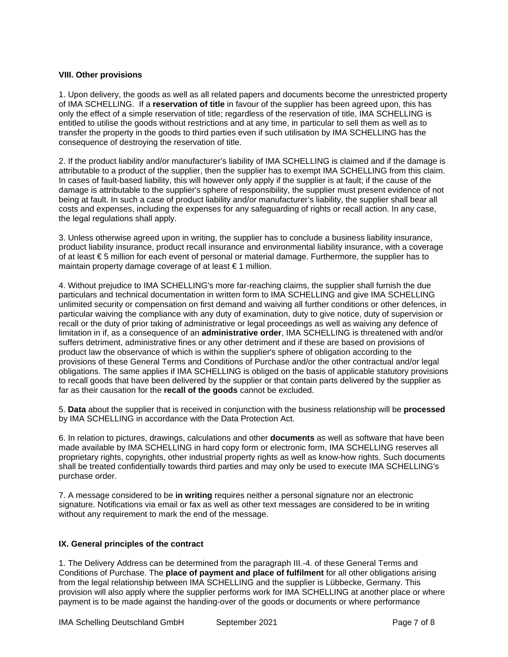#### **VIII. Other provisions**

1. Upon delivery, the goods as well as all related papers and documents become the unrestricted property of IMA SCHELLING. If a **reservation of title** in favour of the supplier has been agreed upon, this has only the effect of a simple reservation of title; regardless of the reservation of title, IMA SCHELLING is entitled to utilise the goods without restrictions and at any time, in particular to sell them as well as to transfer the property in the goods to third parties even if such utilisation by IMA SCHELLING has the consequence of destroying the reservation of title.

2. If the product liability and/or manufacturer's liability of IMA SCHELLING is claimed and if the damage is attributable to a product of the supplier, then the supplier has to exempt IMA SCHELLING from this claim. In cases of fault-based liability, this will however only apply if the supplier is at fault; if the cause of the damage is attributable to the supplier's sphere of responsibility, the supplier must present evidence of not being at fault. In such a case of product liability and/or manufacturer's liability, the supplier shall bear all costs and expenses, including the expenses for any safeguarding of rights or recall action. In any case, the legal regulations shall apply.

3. Unless otherwise agreed upon in writing, the supplier has to conclude a business liability insurance, product liability insurance, product recall insurance and environmental liability insurance, with a coverage of at least € 5 million for each event of personal or material damage. Furthermore, the supplier has to maintain property damage coverage of at least € 1 million.

4. Without prejudice to IMA SCHELLING's more far-reaching claims, the supplier shall furnish the due particulars and technical documentation in written form to IMA SCHELLING and give IMA SCHELLING unlimited security or compensation on first demand and waiving all further conditions or other defences, in particular waiving the compliance with any duty of examination, duty to give notice, duty of supervision or recall or the duty of prior taking of administrative or legal proceedings as well as waiving any defence of limitation in if, as a consequence of an **administrative order**, IMA SCHELLING is threatened with and/or suffers detriment, administrative fines or any other detriment and if these are based on provisions of product law the observance of which is within the supplier's sphere of obligation according to the provisions of these General Terms and Conditions of Purchase and/or the other contractual and/or legal obligations. The same applies if IMA SCHELLING is obliged on the basis of applicable statutory provisions to recall goods that have been delivered by the supplier or that contain parts delivered by the supplier as far as their causation for the **recall of the goods** cannot be excluded.

5. **Data** about the supplier that is received in conjunction with the business relationship will be **processed** by IMA SCHELLING in accordance with the Data Protection Act.

6. In relation to pictures, drawings, calculations and other **documents** as well as software that have been made available by IMA SCHELLING in hard copy form or electronic form, IMA SCHELLING reserves all proprietary rights, copyrights, other industrial property rights as well as know-how rights. Such documents shall be treated confidentially towards third parties and may only be used to execute IMA SCHELLING's purchase order.

7. A message considered to be **in writing** requires neither a personal signature nor an electronic signature. Notifications via email or fax as well as other text messages are considered to be in writing without any requirement to mark the end of the message.

#### **IX. General principles of the contract**

1. The Delivery Address can be determined from the paragraph III.-4. of these General Terms and Conditions of Purchase. The **place of payment and place of fulfilment** for all other obligations arising from the legal relationship between IMA SCHELLING and the supplier is Lübbecke, Germany. This provision will also apply where the supplier performs work for IMA SCHELLING at another place or where payment is to be made against the handing-over of the goods or documents or where performance